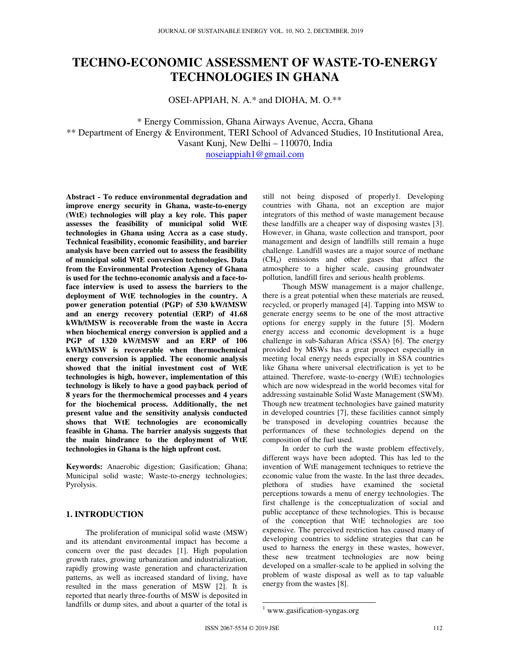# **TECHNO-ECONOMIC ASSESSMENT OF WASTE-TO-ENERGY TECHNOLOGIES IN GHANA**

OSEI-APPIAH, N. A.\* and DIOHA, M. O.\*\*

\* Energy Commission, Ghana Airways Avenue, Accra, Ghana \*\* Department of Energy & Environment, TERI School of Advanced Studies, 10 Institutional Area, Vasant Kunj, New Delhi – 110070, India

noseiappiah1@gmail.com

**Abstract - To reduce environmental degradation and improve energy security in Ghana, waste-to-energy (WtE) technologies will play a key role. This paper assesses the feasibility of municipal solid WtE technologies in Ghana using Accra as a case study. Technical feasibility, economic feasibility, and barrier analysis have been carried out to assess the feasibility of municipal solid WtE conversion technologies. Data from the Environmental Protection Agency of Ghana is used for the techno-economic analysis and a face-toface interview is used to assess the barriers to the deployment of WtE technologies in the country. A power generation potential (PGP) of 530 kW/tMSW and an energy recovery potential (ERP) of 41.68 kWh/tMSW is recoverable from the waste in Accra when biochemical energy conversion is applied and a PGP of 1320 kW/tMSW and an ERP of 106 kWh/tMSW is recoverable when thermochemical energy conversion is applied. The economic analysis showed that the initial investment cost of WtE technologies is high, however, implementation of this technology is likely to have a good payback period of 8 years for the thermochemical processes and 4 years for the biochemical process. Additionally, the net present value and the sensitivity analysis conducted shows that WtE technologies are economically feasible in Ghana. The barrier analysis suggests that the main hindrance to the deployment of WtE technologies in Ghana is the high upfront cost.** 

**Keywords:** Anaerobic digestion; Gasification; Ghana; Municipal solid waste; Waste-to-energy technologies; Pyrolysis.

# **1. INTRODUCTION**

 The proliferation of municipal solid waste (MSW) and its attendant environmental impact has become a concern over the past decades [1]. High population growth rates, growing urbanization and industrialization, rapidly growing waste generation and characterization patterns, as well as increased standard of living, have resulted in the mass generation of MSW [2]. It is reported that nearly three-fourths of MSW is deposited in landfills or dump sites, and about a quarter of the total is

still not being disposed of properly1. Developing countries with Ghana, not an exception are major integrators of this method of waste management because these landfills are a cheaper way of disposing wastes [3]. However, in Ghana, waste collection and transport, poor management and design of landfills still remain a huge challenge. Landfill wastes are a major source of methane (CH4) emissions and other gases that affect the atmosphere to a higher scale, causing groundwater pollution, landfill fires and serious health problems.

 Though MSW management is a major challenge, there is a great potential when these materials are reused, recycled, or properly managed [4]. Tapping into MSW to generate energy seems to be one of the most attractive options for energy supply in the future [5]. Modern energy access and economic development is a huge challenge in sub-Saharan Africa (SSA) [6]. The energy provided by MSWs has a great prospect especially in meeting local energy needs especially in SSA countries like Ghana where universal electrification is yet to be attained. Therefore, waste-to-energy (WtE) technologies which are now widespread in the world becomes vital for addressing sustainable Solid Waste Management (SWM). Though new treatment technologies have gained maturity in developed countries [7], these facilities cannot simply be transposed in developing countries because the performances of these technologies depend on the composition of the fuel used.

 In order to curb the waste problem effectively, different ways have been adopted. This has led to the invention of WtE management techniques to retrieve the economic value from the waste. In the last three decades, plethora of studies have examined the societal perceptions towards a menu of energy technologies. The first challenge is the conceptualization of social and public acceptance of these technologies. This is because of the conception that WtE technologies are too expensive. The perceived restriction has caused many of developing countries to sideline strategies that can be used to harness the energy in these wastes, however, these new treatment technologies are now being developed on a smaller-scale to be applied in solving the problem of waste disposal as well as to tap valuable energy from the wastes [8].

<sup>&</sup>lt;sup>1</sup> www.gasification-syngas.org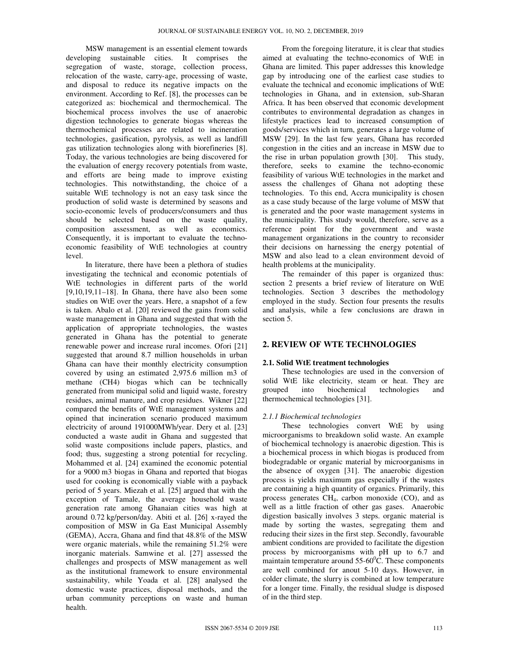MSW management is an essential element towards developing sustainable cities. It comprises the segregation of waste, storage, collection process, relocation of the waste, carry-age, processing of waste, and disposal to reduce its negative impacts on the environment. According to Ref. [8], the processes can be categorized as: biochemical and thermochemical. The biochemical process involves the use of anaerobic digestion technologies to generate biogas whereas the thermochemical processes are related to incineration technologies, gasification, pyrolysis, as well as landfill gas utilization technologies along with biorefineries [8]. Today, the various technologies are being discovered for the evaluation of energy recovery potentials from waste, and efforts are being made to improve existing technologies. This notwithstanding, the choice of a suitable WtE technology is not an easy task since the production of solid waste is determined by seasons and socio-economic levels of producers/consumers and thus should be selected based on the waste quality, composition assessment, as well as economics. Consequently, it is important to evaluate the technoeconomic feasibility of WtE technologies at country level.

 In literature, there have been a plethora of studies investigating the technical and economic potentials of WtE technologies in different parts of the world  $[9,10,19,11-18]$ . In Ghana, there have also been some studies on WtE over the years. Here, a snapshot of a few is taken. Abalo et al. [20] reviewed the gains from solid waste management in Ghana and suggested that with the application of appropriate technologies, the wastes generated in Ghana has the potential to generate renewable power and increase rural incomes. Ofori [21] suggested that around 8.7 million households in urban Ghana can have their monthly electricity consumption covered by using an estimated 2,975.6 million m3 of methane (CH4) biogas which can be technically generated from municipal solid and liquid waste, forestry residues, animal manure, and crop residues. Wikner [22] compared the benefits of WtE management systems and opined that incineration scenario produced maximum electricity of around 191000MWh/year. Dery et al. [23] conducted a waste audit in Ghana and suggested that solid waste compositions include papers, plastics, and food; thus, suggesting a strong potential for recycling. Mohammed et al. [24] examined the economic potential for a 9000 m3 biogas in Ghana and reported that biogas used for cooking is economically viable with a payback period of 5 years. Miezah et al. [25] argued that with the exception of Tamale, the average household waste generation rate among Ghanaian cities was high at around 0.72 kg/person/day. Abiti et al. [26] x-rayed the composition of MSW in Ga East Municipal Assembly (GEMA), Accra, Ghana and find that 48.8% of the MSW were organic materials, while the remaining 51.2% were inorganic materials. Samwine et al. [27] assessed the challenges and prospects of MSW management as well as the institutional framework to ensure environmental sustainability, while Yoada et al. [28] analysed the domestic waste practices, disposal methods, and the urban community perceptions on waste and human health.

 From the foregoing literature, it is clear that studies aimed at evaluating the techno-economics of WtE in Ghana are limited. This paper addresses this knowledge gap by introducing one of the earliest case studies to evaluate the technical and economic implications of WtE technologies in Ghana, and in extension, sub-Sharan Africa. It has been observed that economic development contributes to environmental degradation as changes in lifestyle practices lead to increased consumption of goods/services which in turn, generates a large volume of MSW [29]. In the last few years, Ghana has recorded congestion in the cities and an increase in MSW due to the rise in urban population growth [30]. This study, therefore, seeks to examine the techno-economic feasibility of various WtE technologies in the market and assess the challenges of Ghana not adopting these technologies. To this end, Accra municipality is chosen as a case study because of the large volume of MSW that is generated and the poor waste management systems in the municipality. This study would, therefore, serve as a reference point for the government and waste management organizations in the country to reconsider their decisions on harnessing the energy potential of MSW and also lead to a clean environment devoid of health problems at the municipality.

 The remainder of this paper is organized thus: section 2 presents a brief review of literature on WtE technologies. Section 3 describes the methodology employed in the study. Section four presents the results and analysis, while a few conclusions are drawn in section 5.

## **2. REVIEW OF WTE TECHNOLOGIES**

#### **2.1. Solid WtE treatment technologies**

 These technologies are used in the conversion of solid WtE like electricity, steam or heat. They are grouped into biochemical technologies and thermochemical technologies [31].

#### *2.1.1 Biochemical technologies*

 These technologies convert WtE by using microorganisms to breakdown solid waste. An example of biochemical technology is anaerobic digestion. This is a biochemical process in which biogas is produced from biodegradable or organic material by microorganisms in the absence of oxygen [31]. The anaerobic digestion process is yields maximum gas especially if the wastes are containing a high quantity of organics. Primarily, this process generates CH4, carbon monoxide (CO), and as well as a little fraction of other gas gases. Anaerobic digestion basically involves 3 steps. organic material is made by sorting the wastes, segregating them and reducing their sizes in the first step. Secondly, favourable ambient conditions are provided to facilitate the digestion process by microorganisms with pH up to 6.7 and maintain temperature around  $55{\text -}60^{\circ}$ C. These components are well combined for anout 5-10 days. However, in colder climate, the slurry is combined at low temperature for a longer time. Finally, the residual sludge is disposed of in the third step.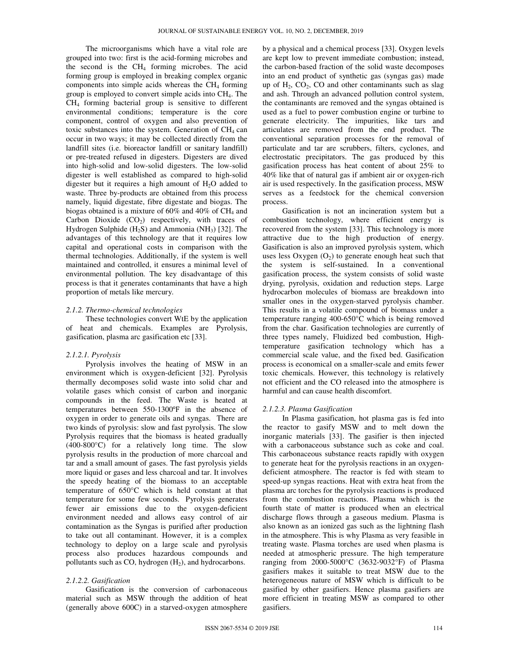The microorganisms which have a vital role are grouped into two: first is the acid-forming microbes and the second is the  $CH<sub>4</sub>$  forming microbes. The acid forming group is employed in breaking complex organic components into simple acids whereas the  $CH<sub>4</sub>$  forming group is employed to convert simple acids into  $CH<sub>4</sub>$ . The CH4 forming bacterial group is sensitive to different environmental conditions; temperature is the core component, control of oxygen and also prevention of toxic substances into the system. Generation of  $CH<sub>4</sub>$  can occur in two ways; it may be collected directly from the landfill sites (i.e. bioreactor landfill or sanitary landfill) or pre-treated refused in digesters. Digesters are dived into high-solid and low-solid digesters. The low-solid digester is well established as compared to high-solid digester but it requires a high amount of  $H_2O$  added to waste. Three by-products are obtained from this process namely, liquid digestate, fibre digestate and biogas. The biogas obtained is a mixture of  $60\%$  and  $40\%$  of CH<sub>4</sub> and Carbon Dioxide  $(CO<sub>2</sub>)$  respectively, with traces of Hydrogen Sulphide  $(H_2S)$  and Ammonia (NH<sub>3</sub>) [32]. The advantages of this technology are that it requires low capital and operational costs in comparison with the thermal technologies. Additionally, if the system is well maintained and controlled, it ensures a minimal level of environmental pollution. The key disadvantage of this process is that it generates contaminants that have a high proportion of metals like mercury.

#### *2.1.2. Thermo-chemical technologies*

 These technologies convert WtE by the application of heat and chemicals. Examples are Pyrolysis, gasification, plasma arc gasification etc [33].

#### *2.1.2.1. Pyrolysis*

 Pyrolysis involves the heating of MSW in an environment which is oxygen-deficient [32]. Pyrolysis thermally decomposes solid waste into solid char and volatile gases which consist of carbon and inorganic compounds in the feed. The Waste is heated at temperatures between 550-1300°F in the absence of oxygen in order to generate oils and syngas. There are two kinds of pyrolysis: slow and fast pyrolysis. The slow Pyrolysis requires that the biomass is heated gradually (400-800°C) for a relatively long time. The slow pyrolysis results in the production of more charcoal and tar and a small amount of gases. The fast pyrolysis yields more liquid or gases and less charcoal and tar. It involves the speedy heating of the biomass to an acceptable temperature of 650°C which is held constant at that temperature for some few seconds. Pyrolysis generates fewer air emissions due to the oxygen-deficient environment needed and allows easy control of air contamination as the Syngas is purified after production to take out all contaminant. However, it is a complex technology to deploy on a large scale and pyrolysis process also produces hazardous compounds and pollutants such as  $CO$ , hydrogen  $(H<sub>2</sub>)$ , and hydrocarbons.

#### *2.1.2.2. Gasification*

 Gasification is the conversion of carbonaceous material such as MSW through the addition of heat (generally above 600C) in a starved-oxygen atmosphere by a physical and a chemical process [33]. Oxygen levels are kept low to prevent immediate combustion; instead, the carbon-based fraction of the solid waste decomposes into an end product of synthetic gas (syngas gas) made up of  $H_2$ ,  $CO_2$ ,  $CO$  and other contaminants such as slag and ash. Through an advanced pollution control system, the contaminants are removed and the syngas obtained is used as a fuel to power combustion engine or turbine to generate electricity. The impurities, like tars and articulates are removed from the end product. The conventional separation processes for the removal of particulate and tar are scrubbers, filters, cyclones, and electrostatic precipitators. The gas produced by this gasification process has heat content of about 25% to 40% like that of natural gas if ambient air or oxygen-rich air is used respectively. In the gasification process, MSW serves as a feedstock for the chemical conversion process.

 Gasification is not an incineration system but a combustion technology, where efficient energy is recovered from the system [33]. This technology is more attractive due to the high production of energy. Gasification is also an improved pyrolysis system, which uses less Oxygen  $(O_2)$  to generate enough heat such that the system is self-sustained. In a conventional gasification process, the system consists of solid waste drying, pyrolysis, oxidation and reduction steps. Large hydrocarbon molecules of biomass are breakdown into smaller ones in the oxygen-starved pyrolysis chamber. This results in a volatile compound of biomass under a temperature ranging 400-650°C which is being removed from the char. Gasification technologies are currently of three types namely, Fluidized bed combustion, Hightemperature gasification technology which has a commercial scale value, and the fixed bed. Gasification process is economical on a smaller-scale and emits fewer toxic chemicals. However, this technology is relatively not efficient and the CO released into the atmosphere is harmful and can cause health discomfort.

#### *2.1.2.3. Plasma Gasification*

 In Plasma gasification, hot plasma gas is fed into the reactor to gasify MSW and to melt down the inorganic materials [33]. The gasifier is then injected with a carbonaceous substance such as coke and coal. This carbonaceous substance reacts rapidly with oxygen to generate heat for the pyrolysis reactions in an oxygendeficient atmosphere. The reactor is fed with steam to speed-up syngas reactions. Heat with extra heat from the plasma arc torches for the pyrolysis reactions is produced from the combustion reactions. Plasma which is the fourth state of matter is produced when an electrical discharge flows through a gaseous medium. Plasma is also known as an ionized gas such as the lightning flash in the atmosphere. This is why Plasma as very feasible in treating waste. Plasma torches are used when plasma is needed at atmospheric pressure. The high temperature ranging from 2000-5000°C (3632-9032°F) of Plasma gasifiers makes it suitable to treat MSW due to the heterogeneous nature of MSW which is difficult to be gasified by other gasifiers. Hence plasma gasifiers are more efficient in treating MSW as compared to other gasifiers.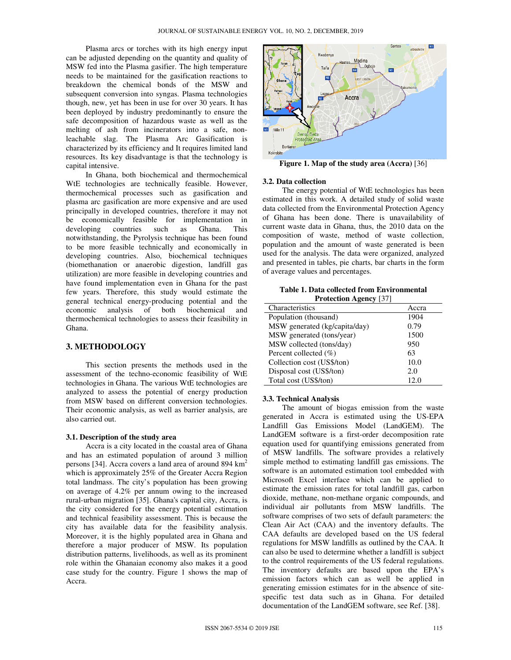Plasma arcs or torches with its high energy input can be adjusted depending on the quantity and quality of MSW fed into the Plasma gasifier. The high temperature needs to be maintained for the gasification reactions to breakdown the chemical bonds of the MSW and subsequent conversion into syngas. Plasma technologies though, new, yet has been in use for over 30 years. It has been deployed by industry predominantly to ensure the safe decomposition of hazardous waste as well as the melting of ash from incinerators into a safe, nonleachable slag. The Plasma Arc Gasification is characterized by its efficiency and It requires limited land resources. Its key disadvantage is that the technology is capital intensive.

 In Ghana, both biochemical and thermochemical WtE technologies are technically feasible. However, thermochemical processes such as gasification and plasma arc gasification are more expensive and are used principally in developed countries, therefore it may not be economically feasible for implementation in developing countries such as Ghana. This notwithstanding, the Pyrolysis technique has been found to be more feasible technically and economically in developing countries. Also, biochemical techniques (biomethanation or anaerobic digestion, landfill gas utilization) are more feasible in developing countries and have found implementation even in Ghana for the past few years. Therefore, this study would estimate the general technical energy-producing potential and the economic analysis of both biochemical and thermochemical technologies to assess their feasibility in Ghana.

## **3. METHODOLOGY**

 This section presents the methods used in the assessment of the techno-economic feasibility of WtE technologies in Ghana. The various WtE technologies are analyzed to assess the potential of energy production from MSW based on different conversion technologies. Their economic analysis, as well as barrier analysis, are also carried out.

#### **3.1. Description of the study area**

 Accra is a city located in the coastal area of Ghana and has an estimated population of around 3 million persons [34]. Accra covers a land area of around 894  $\text{km}^2$ which is approximately 25% of the Greater Accra Region total landmass. The city's population has been growing on average of 4.2% per annum owing to the increased rural-urban migration [35]. Ghana's capital city, Accra, is the city considered for the energy potential estimation and technical feasibility assessment. This is because the city has available data for the feasibility analysis. Moreover, it is the highly populated area in Ghana and therefore a major producer of MSW. Its population distribution patterns, livelihoods, as well as its prominent role within the Ghanaian economy also makes it a good case study for the country. Figure 1 shows the map of Accra.



#### **3.2. Data collection**

 The energy potential of WtE technologies has been estimated in this work. A detailed study of solid waste data collected from the Environmental Protection Agency of Ghana has been done. There is unavailability of current waste data in Ghana, thus, the 2010 data on the composition of waste, method of waste collection, population and the amount of waste generated is been used for the analysis. The data were organized, analyzed and presented in tables, pie charts, bar charts in the form of average values and percentages.

**Table 1. Data collected from Environmental Protection Agency** [37]

| Characteristics               | Accra |
|-------------------------------|-------|
| Population (thousand)         | 1904  |
| MSW generated (kg/capita/day) | 0.79  |
| MSW generated (tons/year)     | 1500  |
| MSW collected (tons/day)      | 950   |
| Percent collected $(\% )$     | 63    |
| Collection cost (US\$/ton)    | 10.0  |
| Disposal cost (US\$/ton)      | 2.0   |
| Total cost (US\$/ton)         | 12.0  |

## **3.3. Technical Analysis**

 The amount of biogas emission from the waste generated in Accra is estimated using the US-EPA Landfill Gas Emissions Model (LandGEM). The LandGEM software is a first-order decomposition rate equation used for quantifying emissions generated from of MSW landfills. The software provides a relatively simple method to estimating landfill gas emissions. The software is an automated estimation tool embedded with Microsoft Excel interface which can be applied to estimate the emission rates for total landfill gas, carbon dioxide, methane, non-methane organic compounds, and individual air pollutants from MSW landfills. The software comprises of two sets of default parameters: the Clean Air Act (CAA) and the inventory defaults. The CAA defaults are developed based on the US federal regulations for MSW landfills as outlined by the CAA. It can also be used to determine whether a landfill is subject to the control requirements of the US federal regulations. The inventory defaults are based upon the EPA's emission factors which can as well be applied in generating emission estimates for in the absence of sitespecific test data such as in Ghana. For detailed documentation of the LandGEM software, see Ref. [38].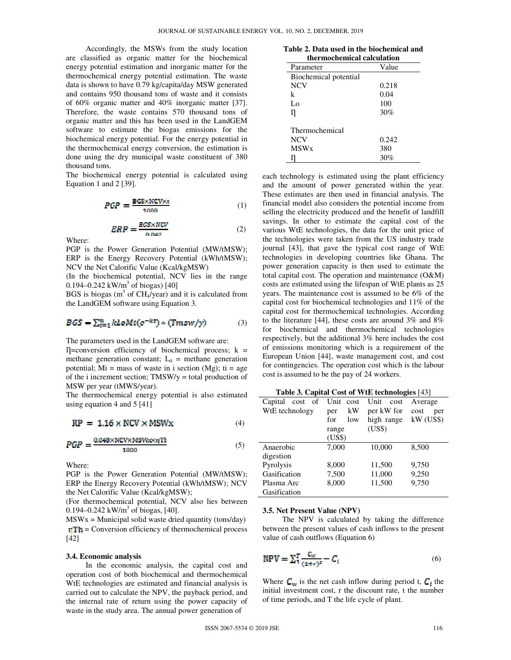Accordingly, the MSWs from the study location are classified as organic matter for the biochemical energy potential estimation and inorganic matter for the thermochemical energy potential estimation. The waste data is shown to have 0.79 kg/capita/day MSW generated and contains 950 thousand tons of waste and it consists of 60% organic matter and 40% inorganic matter [37]. Therefore, the waste contains 570 thousand tons of organic matter and this has been used in the LandGEM software to estimate the biogas emissions for the biochemical energy potential. For the energy potential in the thermochemical energy conversion, the estimation is done using the dry municipal waste constituent of 380 thousand tons.

The biochemical energy potential is calculated using Equation 1 and 2 [39].

$$
PGP = \frac{BG3 \times NCV \times r}{1000} \tag{1}
$$

$$
ERP = \frac{BCS \times NCV}{0.042} \tag{2}
$$

Where:

PGP is the Power Generation Potential (MW/tMSW); ERP is the Energy Recovery Potential (kWh/tMSW); NCV the Net Calorific Value (Kcal/kgMSW)

(In the biochemical potential, NCV lies in the range 0.194–0.242 kW/m<sup>3</sup> of biogas) [40]

BGS is biogas ( $m<sup>3</sup>$  of CH<sub>4</sub>/year) and it is calculated from the LandGEM software using Equation 3.

$$
BGS = \sum_{i=1}^{n} kloMi(c^{-kt}) * (Tmsw/y)
$$
 (3)

The parameters used in the LandGEM software are:

 $\Gamma$ =conversion efficiency of biochemical process; k = methane generation constant;  $L_0$  = methane generation potential;  $Mi = mass$  of waste in i section (Mg);  $ti = age$ of the i increment section;  $TMSW/y =$  total production of MSW per year (tMWS/year).

The thermochemical energy potential is also estimated using equation 4 and 5 [41]

$$
RP = 1.16 \times NCV \times MSWx \tag{4}
$$

$$
PGP = \frac{0.048 \times NCV \times MSW \times nTh}{1000}
$$
 (5)

Where:

PGP is the Power Generation Potential (MW/tMSW); ERP the Energy Recovery Potential (kWh/tMSW); NCV the Net Calorific Value (Kcal/kgMSW);

(For thermochemical potential, NCV also lies between 0.194–0.242 kW/m<sup>3</sup> of biogas, [40].

 $MSWx =$  Municipal solid waste dried quantity (tons/day)  $T<sub>II</sub>$  = Conversion efficiency of thermochemical process [42]

#### **3.4. Economic analysis**

 In the economic analysis, the capital cost and operation cost of both biochemical and thermochemical WtE technologies are estimated and financial analysis is carried out to calculate the NPV, the payback period, and the internal rate of return using the power capacity of waste in the study area. The annual power generation of

|  |  |  |                 | Table 2. Data used in the biochemical and |  |
|--|--|--|-----------------|-------------------------------------------|--|
|  |  |  | 41. 1. 1. 1. 1. |                                           |  |

| thermochemical calculation |       |  |  |  |
|----------------------------|-------|--|--|--|
| Value<br>Parameter         |       |  |  |  |
| Biochemical potential      |       |  |  |  |
| <b>NCV</b>                 | 0.218 |  |  |  |
| k                          | 0.04  |  |  |  |
| Lo                         | 100   |  |  |  |
| Ŋ                          | 30%   |  |  |  |
| Thermochemical             |       |  |  |  |
| <b>NCV</b>                 | 0.242 |  |  |  |
| <b>MSW<sub>x</sub></b>     | 380   |  |  |  |
|                            | 30%   |  |  |  |

each technology is estimated using the plant efficiency and the amount of power generated within the year. These estimates are then used in financial analysis. The financial model also considers the potential income from selling the electricity produced and the benefit of landfill savings. In other to estimate the capital cost of the various WtE technologies, the data for the unit price of the technologies were taken from the US industry trade journal [43], that gave the typical cost range of WtE technologies in developing countries like Ghana. The power generation capacity is then used to estimate the total capital cost. The operation and maintenance (O&M) costs are estimated using the lifespan of WtE plants as 25 years. The maintenance cost is assumed to be 6% of the capital cost for biochemical technologies and 11% of the capital cost for thermochemical technologies. According to the literature [44], these costs are around 3% and 8% for biochemical and thermochemical technologies respectively, but the additional 3% here includes the cost of emissions monitoring which is a requirement of the European Union [44], waste management cost, and cost for contingencies. The operation cost which is the labour cost is assumed to be the pay of 24 workers.

| Table 5. Capital Cost of $W$ to technologies $ \tau_{\theta} $ |              |              |             |  |
|----------------------------------------------------------------|--------------|--------------|-------------|--|
| Capital<br><sub>of</sub><br>cost                               | Unit<br>cost | Unit<br>cost | Average     |  |
| WtE technology                                                 | kW<br>per    | per kW for   | cost<br>per |  |
|                                                                | for<br>low   | high range   | $kW$ (US\$) |  |
|                                                                | range        | (US\$)       |             |  |
|                                                                | (US\$)       |              |             |  |
| Anaerobic                                                      | 7,000        | 10,000       | 8,500       |  |
| digestion                                                      |              |              |             |  |
| Pyrolysis                                                      | 8,000        | 11,500       | 9,750       |  |
| Gasification                                                   | 7,500        | 11,000       | 9,250       |  |
| Plasma Arc                                                     | 8,000        | 11,500       | 9,750       |  |
| Gasification                                                   |              |              |             |  |

**Table 3. Capital Cost of WtE technologies** [43]

#### **3.5. Net Present Value (NPV)**

 The NPV is calculated by taking the difference between the present values of cash inflows to the present value of cash outflows (Equation 6)

$$
NPV = \sum_{i=1}^{T} \frac{c_{iv}}{(1+r)^i} - C_i
$$
\n(6)

Where  $C_w$  is the net cash inflow during period t,  $C_i$  the initial investment cost, r the discount rate, t the number of time periods, and T the life cycle of plant.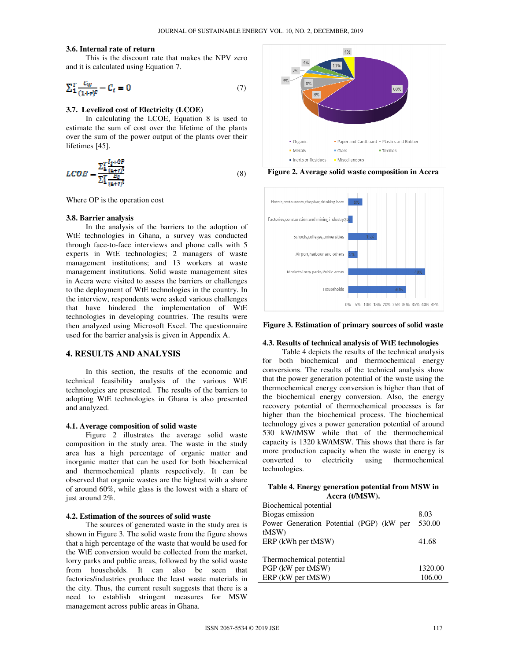#### **3.6. Internal rate of return**

 This is the discount rate that makes the NPV zero and it is calculated using Equation 7.

$$
\sum_{1}^{T} \frac{c_W}{(1+r)^t} - C_t = 0 \tag{7}
$$

# **3.7. Levelized cost of Electricity (LCOE)**

 In calculating the LCOE, Equation 8 is used to estimate the sum of cost over the lifetime of the plants over the sum of the power output of the plants over their lifetimes [45].

$$
LCOE = \frac{\sum_{i}^{T} \frac{I_i + \theta P}{(i + r)^2}}{\sum_{i}^{T} \frac{E_E}{(i + r)^2}}
$$
(8)

Where OP is the operation cost

#### **3.8. Barrier analysis**

 In the analysis of the barriers to the adoption of WtE technologies in Ghana, a survey was conducted through face-to-face interviews and phone calls with 5 experts in WtE technologies; 2 managers of waste management institutions; and 13 workers at waste management institutions. Solid waste management sites in Accra were visited to assess the barriers or challenges to the deployment of WtE technologies in the country. In the interview, respondents were asked various challenges that have hindered the implementation of WtE technologies in developing countries. The results were then analyzed using Microsoft Excel. The questionnaire used for the barrier analysis is given in Appendix A.

# **4. RESULTS AND ANALYSIS**

 In this section, the results of the economic and technical feasibility analysis of the various WtE technologies are presented. The results of the barriers to adopting WtE technologies in Ghana is also presented and analyzed.

## **4.1. Average composition of solid waste**

 Figure 2 illustrates the average solid waste composition in the study area. The waste in the study area has a high percentage of organic matter and inorganic matter that can be used for both biochemical and thermochemical plants respectively. It can be observed that organic wastes are the highest with a share of around 60%, while glass is the lowest with a share of just around 2%.

#### **4.2. Estimation of the sources of solid waste**

 The sources of generated waste in the study area is shown in Figure 3. The solid waste from the figure shows that a high percentage of the waste that would be used for the WtE conversion would be collected from the market, lorry parks and public areas, followed by the solid waste from households. It can also be seen that factories/industries produce the least waste materials in the city. Thus, the current result suggests that there is a need to establish stringent measures for MSW management across public areas in Ghana.



**Figure 2. Average solid waste composition in Accra** 



**Figure 3. Estimation of primary sources of solid waste**

# **4.3. Results of technical analysis of WtE technologies**

 Table 4 depicts the results of the technical analysis for both biochemical and thermochemical energy conversions. The results of the technical analysis show that the power generation potential of the waste using the thermochemical energy conversion is higher than that of the biochemical energy conversion. Also, the energy recovery potential of thermochemical processes is far higher than the biochemical process. The biochemical technology gives a power generation potential of around 530 kW/tMSW while that of the thermochemical capacity is 1320 kW/tMSW. This shows that there is far more production capacity when the waste in energy is converted to electricity using thermochemical technologies.

| Table 4. Energy generation potential from MSW in |
|--------------------------------------------------|
| Accra (t/MSW).                                   |

| Biochemical potential                    |         |
|------------------------------------------|---------|
| Biogas emission                          | 8.03    |
| Power Generation Potential (PGP) (kW per | 530.00  |
| tMSW)                                    |         |
| ERP (kWh per tMSW)                       | 41.68   |
|                                          |         |
| Thermochemical potential                 |         |
| PGP (kW per tMSW)                        | 1320.00 |
| ERP (kW per tMSW)                        | 106.00  |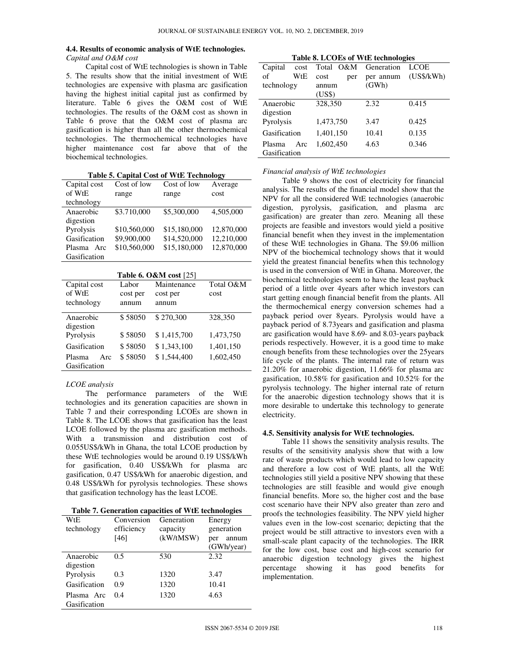#### **4.4. Results of economic analysis of WtE technologies.**  *Capital and O&M cost*

 Capital cost of WtE technologies is shown in Table 5. The results show that the initial investment of WtE technologies are expensive with plasma arc gasification having the highest initial capital just as confirmed by literature. Table 6 gives the O&M cost of WtE technologies. The results of the O&M cost as shown in Table 6 prove that the O&M cost of plasma arc gasification is higher than all the other thermochemical technologies. The thermochemical technologies have higher maintenance cost far above that of the biochemical technologies.

**Table 5. Capital Cost of WtE Technology** 

| Table 5. Capital Cost of With Technology |              |              |            |  |
|------------------------------------------|--------------|--------------|------------|--|
| Capital cost                             | Cost of low  | Cost of low  | Average    |  |
| of WtE                                   | range        | range        | cost       |  |
| technology                               |              |              |            |  |
| Anaerobic                                | \$3.710,000  | \$5,300,000  | 4,505,000  |  |
| digestion                                |              |              |            |  |
| Pyrolysis                                | \$10,560,000 | \$15,180,000 | 12,870,000 |  |
| Gasification                             | \$9,900,000  | \$14,520,000 | 12,210,000 |  |
| Plasma<br>Arc                            | \$10,560,000 | \$15,180,000 | 12,870,000 |  |
| Gasification                             |              |              |            |  |

| <b>Table 6. O&amp;M cost</b> [25] |          |             |           |  |
|-----------------------------------|----------|-------------|-----------|--|
| Capital cost                      | Labor    | Maintenance | Total O&M |  |
| of W <sub>t</sub> E               | cost per | cost per    | cost      |  |
| technology                        | annum    | annum       |           |  |
|                                   |          |             |           |  |
| Anaerobic                         | \$58050  | \$270,300   | 328,350   |  |
| digestion                         |          |             |           |  |
| Pyrolysis                         | \$58050  | \$1,415,700 | 1,473,750 |  |
| Gasification                      | \$58050  | \$1,343,100 | 1,401,150 |  |
| Plasma<br>Arc.                    | \$58050  | \$1.544,400 | 1,602,450 |  |
| Gasification                      |          |             |           |  |

## *LCOE analysis*

 The performance parameters of the WtE technologies and its generation capacities are shown in Table 7 and their corresponding LCOEs are shown in Table 8. The LCOE shows that gasification has the least LCOE followed by the plasma arc gasification methods. With a transmission and distribution cost of 0.055US\$/kWh in Ghana, the total LCOE production by these WtE technologies would be around 0.19 US\$/kWh for gasification, 0.40 US\$/kWh for plasma arc gasification, 0.47 US\$/kWh for anaerobic digestion, and 0.48 US\$/kWh for pyrolysis technologies. These shows that gasification technology has the least LCOE.

|  |  |  |  | Table 7. Generation capacities of WtE technologies |
|--|--|--|--|----------------------------------------------------|
|--|--|--|--|----------------------------------------------------|

| WtE          | Conversion | Generation | Energy                     |
|--------------|------------|------------|----------------------------|
| technology   | efficiency | capacity   | generation                 |
|              | [46]       | (kW/tMSW)  | annum<br>per<br>(GWh/year) |
| Anaerobic    | 0.5        | 530        | 2.32                       |
| digestion    |            |            |                            |
| Pyrolysis    | 0.3        | 1320       | 3.47                       |
| Gasification | 0.9        | 1320       | 10.41                      |
| Plasma Arc   | 0.4        | 1320       | 4.63                       |
| Gasification |            |            |                            |

**Table 8. LCOEs of WtE technologies** 

| Capital<br>cost | Total O&M   | Generation | $\overline{ }$<br><b>LCOE</b> |
|-----------------|-------------|------------|-------------------------------|
| WtE<br>of       | cost<br>per | per annum  | (US\$/kWh)                    |
| technology      | annum       | (GWh)      |                               |
|                 | (US\$)      |            |                               |
| Anaerobic       | 328,350     | 2.32       | 0.415                         |
| digestion       |             |            |                               |
| Pyrolysis       | 1,473,750   | 3.47       | 0.425                         |
| Gasification    | 1,401,150   | 10.41      | 0.135                         |
| Plasma<br>Arc   | 1,602,450   | 4.63       | 0.346                         |
| Gasification    |             |            |                               |

*Financial analysis of WtE technologies* 

 Table 9 shows the cost of electricity for financial analysis. The results of the financial model show that the NPV for all the considered WtE technologies (anaerobic digestion, pyrolysis, gasification, and plasma arc gasification) are greater than zero. Meaning all these projects are feasible and investors would yield a positive financial benefit when they invest in the implementation of these WtE technologies in Ghana. The \$9.06 million NPV of the biochemical technology shows that it would yield the greatest financial benefits when this technology is used in the conversion of WtE in Ghana. Moreover, the biochemical technologies seem to have the least payback period of a little over 4years after which investors can start getting enough financial benefit from the plants. All the thermochemical energy conversion schemes had a payback period over 8years. Pyrolysis would have a payback period of 8.73years and gasification and plasma arc gasification would have 8.69- and 8.03-years payback periods respectively. However, it is a good time to make enough benefits from these technologies over the 25years life cycle of the plants. The internal rate of return was 21.20% for anaerobic digestion, 11.66% for plasma arc gasification, 10.58% for gasification and 10.52% for the pyrolysis technology. The higher internal rate of return for the anaerobic digestion technology shows that it is more desirable to undertake this technology to generate electricity.

#### **4.5. Sensitivity analysis for WtE technologies.**

 Table 11 shows the sensitivity analysis results. The results of the sensitivity analysis show that with a low rate of waste products which would lead to low capacity and therefore a low cost of WtE plants, all the WtE technologies still yield a positive NPV showing that these technologies are still feasible and would give enough financial benefits. More so, the higher cost and the base cost scenario have their NPV also greater than zero and proofs the technologies feasibility. The NPV yield higher values even in the low-cost scenario; depicting that the project would be still attractive to investors even with a small-scale plant capacity of the technologies. The IRR for the low cost, base cost and high-cost scenario for anaerobic digestion technology gives the highest percentage showing it has good benefits for implementation.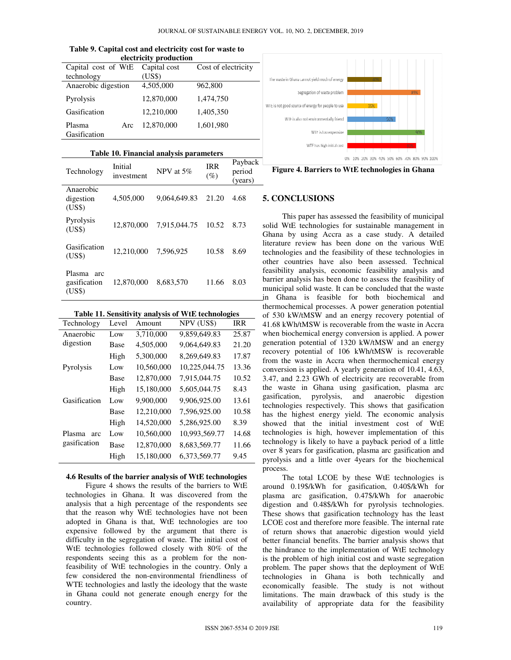|                        |     | electricity production |                     |
|------------------------|-----|------------------------|---------------------|
| Capital cost of WtE    |     | Capital cost           | Cost of electricity |
| technology             |     | (US\$)                 |                     |
| Anaerobic digestion    |     | 4,505,000              | 962,800             |
| Pyrolysis              |     | 12,870,000             | 1,474,750           |
| Gasification           |     | 12,210,000             | 1,405,350           |
| Plasma<br>Gasification | Arc | 12,870,000             | 1,601,980           |
|                        |     |                        |                     |

| Table 9. Capital cost and electricity cost for waste to |  |  |  |  |
|---------------------------------------------------------|--|--|--|--|
| electricity production                                  |  |  |  |  |

| Table 10. Financial analysis parameters |  |  |
|-----------------------------------------|--|--|
|-----------------------------------------|--|--|

| Technology                                          | Initial<br>investment | NPV at 5%    | <b>IRR</b><br>$(\%)$ | Payback<br>period<br>(years) |
|-----------------------------------------------------|-----------------------|--------------|----------------------|------------------------------|
| Anaerobic<br>digestion<br>(US\$)                    | 4,505,000             | 9,064,649.83 | 21.20                | 4.68                         |
| Pyrolysis<br>(US\$)                                 | 12,870,000            | 7,915,044.75 | 10.52                | 8.73                         |
| Gasification<br>(US\$)                              | 12,210,000            | 7.596.925    | 10.58                | 8.69                         |
| Plasma<br>arc<br>gasification<br>( <sup>USS</sup> ) | 12,870,000            | 8,683,570    | 11.66                | 8.03                         |

|  |  |  |  | Table 11. Sensitivity analysis of WtE technologies |
|--|--|--|--|----------------------------------------------------|
|--|--|--|--|----------------------------------------------------|

| Technology    | Level       | Amount     | NPV (US\$)    | <b>IRR</b> |
|---------------|-------------|------------|---------------|------------|
| Anaerobic     | Low         | 3,710,000  | 9,859,649.83  | 25.87      |
| digestion     | Base        | 4,505,000  | 9,064,649.83  | 21.20      |
|               | High        | 5,300,000  | 8,269,649.83  | 17.87      |
| Pyrolysis     | Low         | 10,560,000 | 10,225,044.75 | 13.36      |
|               | <b>Base</b> | 12,870,000 | 7,915,044.75  | 10.52      |
|               | High        | 15,180,000 | 5,605,044.75  | 8.43       |
| Gasification  | Low         | 9,900,000  | 9,906,925.00  | 13.61      |
|               | <b>Base</b> | 12,210,000 | 7,596,925.00  | 10.58      |
|               | High        | 14,520,000 | 5,286,925.00  | 8.39       |
| Plasma<br>arc | Low         | 10,560,000 | 10,993,569.77 | 14.68      |
| gasification  | Base        | 12,870,000 | 8,683,569.77  | 11.66      |
|               | High        | 15,180,000 | 6,373,569.77  | 9.45       |
|               |             |            |               |            |

#### **4.6 Results of the barrier analysis of WtE technologies**

 Figure 4 shows the results of the barriers to WtE technologies in Ghana. It was discovered from the analysis that a high percentage of the respondents see that the reason why WtE technologies have not been adopted in Ghana is that, WtE technologies are too expensive followed by the argument that there is difficulty in the segregation of waste. The initial cost of WtE technologies followed closely with 80% of the respondents seeing this as a problem for the nonfeasibility of WtE technologies in the country. Only a few considered the non-environmental friendliness of WTE technologies and lastly the ideology that the waste in Ghana could not generate enough energy for the country.



**Figure 4. Barriers to WtE technologies in Ghana** 

# **5. CONCLUSIONS**

 This paper has assessed the feasibility of municipal solid WtE technologies for sustainable management in Ghana by using Accra as a case study. A detailed literature review has been done on the various WtE technologies and the feasibility of these technologies in other countries have also been assessed. Technical feasibility analysis, economic feasibility analysis and barrier analysis has been done to assess the feasibility of municipal solid waste. It can be concluded that the waste in Ghana is feasible for both biochemical and thermochemical processes. A power generation potential of 530 kW/tMSW and an energy recovery potential of 41.68 kWh/tMSW is recoverable from the waste in Accra when biochemical energy conversion is applied. A power generation potential of 1320 kW/tMSW and an energy recovery potential of 106 kWh/tMSW is recoverable from the waste in Accra when thermochemical energy conversion is applied. A yearly generation of 10.41, 4.63, 3.47, and 2.23 GWh of electricity are recoverable from the waste in Ghana using gasification, plasma arc gasification, pyrolysis, and anaerobic digestion technologies respectively. This shows that gasification has the highest energy yield. The economic analysis showed that the initial investment cost of WtE technologies is high, however implementation of this technology is likely to have a payback period of a little over 8 years for gasification, plasma arc gasification and pyrolysis and a little over 4years for the biochemical process.

 The total LCOE by these WtE technologies is around 0.19\$/kWh for gasification, 0.40\$/kWh for plasma arc gasification, 0.47\$/kWh for anaerobic digestion and 0.48\$/kWh for pyrolysis technologies. These shows that gasification technology has the least LCOE cost and therefore more feasible. The internal rate of return shows that anaerobic digestion would yield better financial benefits. The barrier analysis shows that the hindrance to the implementation of WtE technology is the problem of high initial cost and waste segregation problem. The paper shows that the deployment of WtE technologies in Ghana is both technically and economically feasible. The study is not without limitations. The main drawback of this study is the availability of appropriate data for the feasibility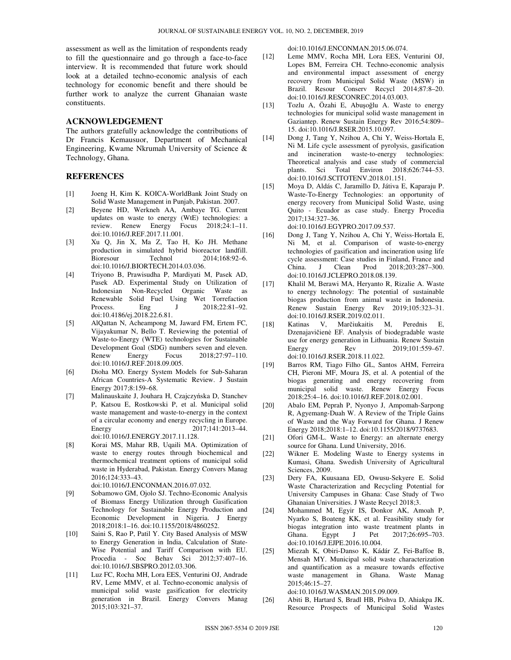assessment as well as the limitation of respondents ready to fill the questionnaire and go through a face-to-face interview. It is recommended that future work should look at a detailed techno-economic analysis of each technology for economic benefit and there should be further work to analyze the current Ghanaian waste constituents.

## **ACKNOWLEDGEMENT**

The authors gratefully acknowledge the contributions of Dr Francis Kemausuor, Department of Mechanical Engineering, Kwame Nkrumah University of Science & Technology, Ghana.

## **REFERENCES**

- [1] Joeng H, Kim K. KOICA-WorldBank Joint Study on Solid Waste Management in Punjab, Pakistan. 2007.
- [2] Beyene HD, Werkneh AA, Ambaye TG. Current updates on waste to energy (WtE) technologies: a review. Renew Energy Focus 2018;24:1–11. doi:10.1016/J.REF.2017.11.001.
- [3] Xu Q, Jin X, Ma Z, Tao H, Ko JH. Methane production in simulated hybrid bioreactor landfill. Bioresour Technol 2014;168:92–6. doi:10.1016/J.BIORTECH.2014.03.036.
- [4] Triyono B, Prawisudha P, Mardiyati M, Pasek AD, Pasek AD. Experimental Study on Utilization of Indonesian Non-Recycled Organic Waste as Renewable Solid Fuel Using Wet Torrefaction Process. Eng J 2018;22:81-92. doi:10.4186/ej.2018.22.6.81.
- [5] AlQattan N, Acheampong M, Jaward FM, Ertem FC, Vijayakumar N, Bello T. Reviewing the potential of Waste-to-Energy (WTE) technologies for Sustainable Development Goal (SDG) numbers seven and eleven. Renew Energy Focus 2018;27:97–110. doi:10.1016/J.REF.2018.09.005.
- [6] Dioha MO. Energy System Models for Sub-Saharan African Countries-A Systematic Review. J Sustain Energy 2017;8:159–68.
- [7] Malinauskaite J, Jouhara H, Czajczyńska D, Stanchev P, Katsou E, Rostkowski P, et al. Municipal solid waste management and waste-to-energy in the context of a circular economy and energy recycling in Europe. Energy 2017;141:2013-44. doi:10.1016/J.ENERGY.2017.11.128.
- [8] Korai MS, Mahar RB, Uqaili MA. Optimization of waste to energy routes through biochemical and thermochemical treatment options of municipal solid waste in Hyderabad, Pakistan. Energy Convers Manag 2016;124:333–43.

doi:10.1016/J.ENCONMAN.2016.07.032.

- [9] Sobamowo GM, Ojolo SJ. Techno-Economic Analysis of Biomass Energy Utilization through Gasification Technology for Sustainable Energy Production and Economic Development in Nigeria. J Energy 2018;2018:1–16. doi:10.1155/2018/4860252.
- [10] Saini S, Rao P, Patil Y. City Based Analysis of MSW to Energy Generation in India, Calculation of State-Wise Potential and Tariff Comparison with EU. Procedia - Soc Behav Sci 2012;37:407–16. doi:10.1016/J.SBSPRO.2012.03.306.
- [11] Luz FC, Rocha MH, Lora EES, Venturini OJ, Andrade RV, Leme MMV, et al. Techno-economic analysis of municipal solid waste gasification for electricity generation in Brazil. Energy Convers Manag 2015;103:321–37.

doi:10.1016/J.ENCONMAN.2015.06.074.

- [12] Leme MMV, Rocha MH, Lora EES, Venturini OJ, Lopes BM, Ferreira CH. Techno-economic analysis and environmental impact assessment of energy recovery from Municipal Solid Waste (MSW) in Brazil. Resour Conserv Recycl 2014;87:8–20. doi:10.1016/J.RESCONREC.2014.03.003.
- [13] Tozlu A, Özahi E, Abuşoğlu A. Waste to energy technologies for municipal solid waste management in Gaziantep. Renew Sustain Energy Rev 2016;54:809– 15. doi:10.1016/J.RSER.2015.10.097.
- [14] Dong J, Tang Y, Nzihou A, Chi Y, Weiss-Hortala E, Ni M. Life cycle assessment of pyrolysis, gasification and incineration waste-to-energy technologies: Theoretical analysis and case study of commercial plants. Sci Total Environ 2018;626:744–53. doi:10.1016/J.SCITOTENV.2018.01.151.
- [15] Moya D, Aldás C, Jaramillo D, Játiva E, Kaparaju P. Waste-To-Energy Technologies: an opportunity of energy recovery from Municipal Solid Waste, using Quito - Ecuador as case study. Energy Procedia 2017;134:327–36.

doi:10.1016/J.EGYPRO.2017.09.537.

- [16] Dong J, Tang Y, Nzihou A, Chi Y, Weiss-Hortala E, Ni M, et al. Comparison of waste-to-energy technologies of gasification and incineration using life cycle assessment: Case studies in Finland, France and China. J Clean Prod 2018;203:287–300. doi:10.1016/J.JCLEPRO.2018.08.139.
- [17] Khalil M, Berawi MA, Heryanto R, Rizalie A. Waste to energy technology: The potential of sustainable biogas production from animal waste in Indonesia. Renew Sustain Energy Rev 2019;105:323–31. doi:10.1016/J.RSER.2019.02.011.
- [18] Katinas V, Marčiukaitis M, Perednis E, Dzenajavičienė EF. Analysis of biodegradable waste use for energy generation in Lithuania. Renew Sustain<br>Energy Rev 2019;101:559-67. Rev 2019;101:559–67. doi:10.1016/J.RSER.2018.11.022.
- [19] Barros RM, Tiago Filho GL, Santos AHM, Ferreira CH, Pieroni MF, Moura JS, et al. A potential of the biogas generating and energy recovering from municipal solid waste. Renew Energy Focus 2018;25:4–16. doi:10.1016/J.REF.2018.02.001.
- [20] Abalo EM, Peprah P, Nyonyo J, Ampomah-Sarpong R, Agyemang-Duah W. A Review of the Triple Gains of Waste and the Way Forward for Ghana. J Renew Energy 2018;2018:1–12. doi:10.1155/2018/9737683.
- [21] Ofori GM-L. Waste to Energy: an alternate energy source for Ghana. Lund University, 2016.
- [22] Wikner E. Modeling Waste to Energy systems in Kumasi, Ghana. Swedish University of Agricultural Sciences, 2009.
- [23] Dery FA, Kuusaana ED, Owusu-Sekyere E. Solid Waste Characterization and Recycling Potential for University Campuses in Ghana: Case Study of Two Ghanaian Universities. J Waste Recycl 2018;3.
- [24] Mohammed M, Egyir IS, Donkor AK, Amoah P, Nyarko S, Boateng KK, et al. Feasibility study for biogas integration into waste treatment plants in Ghana. Egypt J Pet 2017;26:695-703. doi:10.1016/J.EJPE.2016.10.004.
- [25] Miezah K, Obiri-Danso K, Kádár Z, Fei-Baffoe B, Mensah MY. Municipal solid waste characterization and quantification as a measure towards effective waste management in Ghana. Waste Manag 2015;46:15–27.

doi:10.1016/J.WASMAN.2015.09.009.

[26] Abiti B, Hartard S, Bradl HB, Pishva D, Ahiakpa JK. Resource Prospects of Municipal Solid Wastes